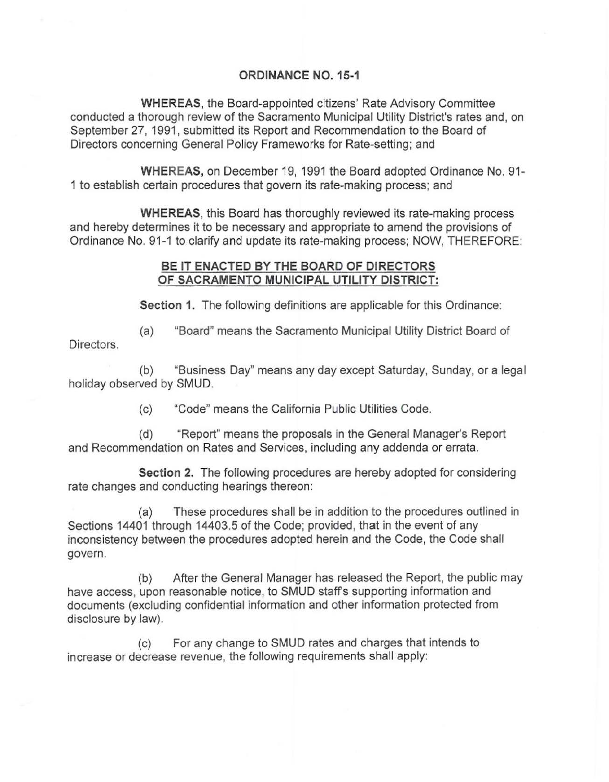## ORDINANCE NO. 15-1

WHEREAS. the Board-appointed citizens' Rate Advisory Committee conducted a thorough review of the Sacramento Municipal Utility District's rates and, on September 27, 1991, submitted its Report and Recommendation to the Board of Directors concerning General Policy Frameworks for Rate-setting; and

WHEREAS, on December 19,1991 the Board adopted Ordinance No. 91- 1 to establish certain procedures that govern its rate-making process; and

WHEREAS, this Board has thoroughly reviewed its rate-making process and hereby determines it to be necessary and appropriate to amend the provisions of Ordinance No. 91-1 to clarify and update its rate-making process; NOW, THEREFORE:

## BE IT ENACTED BY THE BOARD OF DIRECTORS OF SACRAMENTO MUNICIPAL UTILITY DISTRICT:

Section 1. The following definitions are applicable for this Ordinance:

Directors. (a) "Board" means the Sacramento Municipal Utility District Board of

(b) "Business Day" means any day except Saturday, Sunday, or a legal holiday observed by SMUD.

(c) "Code" means the California Public Utilities Code.

(d) "Report" means the proposals in the General Manager's Report and Recommendation on Rates and Services, including any addenda or errata.

Section 2. The following procedures are hereby adopted for considering rate changes and conducting hearings thereon:

(a) These procedures shall be in addition to the procedures outlined in Sections 14401 through 14403.5 of the Code; provided, that in the event of any inconsistency between the procedures adopted herein and the Code, the Code shall **govern.** 

(b) After the General Manager has released the Report, the public may have access, upon reasonable notice, to SMUD staffs supporting information and documents (excluding confidential information and other information protected from disclosure by law).

(c) For any change to SMUD rates and charges that intends to increase or decrease revenue, the following requirements shall apply: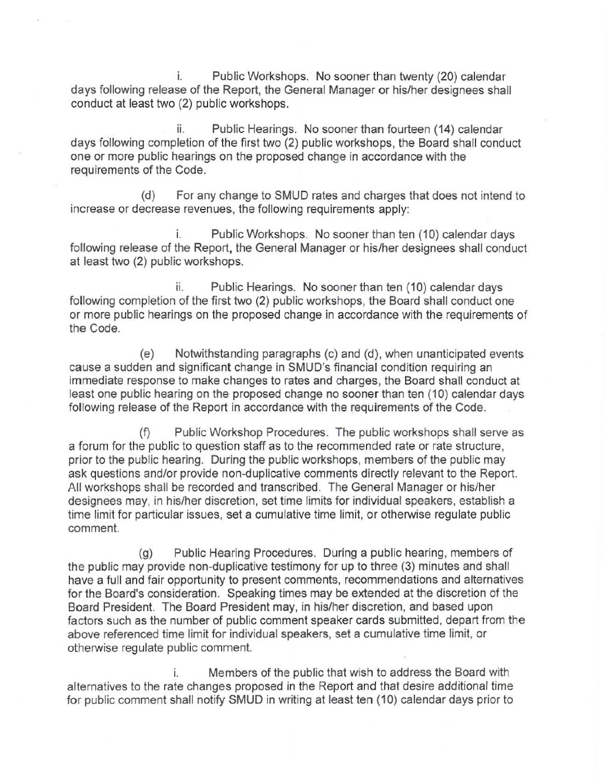i. Public Workshops. No sooner than twenty (20) calendar days following release of the Report, the General Manager or his/her designees shall conduct at least two (2) public workshops.

ii. Public Hearings. No sooner than fourteen (14) calendar days following completion of the first two (2) public workshops, the Board shall conduct one or more public hearings on the proposed change in accordance with the requirements of the Code.

(d) For any change to SMUD rates and charges that does not intend to **increase or decrease revenues, the following requirements apply:** 

i. Public Workshops. No sooner than ten (10) calendar days following release of the Report, the General Manager or his/her designees shall conduct at least two (2) public workshops.

ii. Public Hearings. No sooner than ten (10) calendar days following completion of the first two (2) public workshops, the Board shall conduct one or more public hearings on the proposed change in accordance with the requirements of the Code.

(e) Notwithstanding paragraphs (c) and (d), when unanticipated events **cause a sudden and significant change in SMUD's financial condition requiring an**  immediate response to make changes to rates and charges, the Board shall conduct at least one public hearing on the proposed change no sooner than ten (10) calendar days following release of the Report in accordance with the requirements of the Code.

(f) Public Workshop Procedures. The public workshops shall serve as a forum for the public to question staff as to the recommended rate or rate structure, prior to the public hearing. During the public workshops, members of the public may ask questions and/or provide non-duplicative comments directly relevant to the Report. All workshops shall be recorded and transcribed. The General Manager or his/her designees may, in his/her discretion, set time limits for individual speakers, establish a time limit for particular issues, set a cumulative time limit, or otherwise regulate public **comment.** 

(g) Public Hearing Procedures. During a public hearing, members of the public may provide non-duplicative testimony for up to three (3) minutes and shall have a full and fair opportunity to present comments, recommendations and alternatives for the Board's consideration. Speaking times may be extended at the discretion of the Board President. The Board President may, in his/her discretion, and based upon factors such as the number of public comment speaker cards submitted, depart from the above referenced time limit for individual speakers, set a cumulative time limit, or otherwise regulate public comment.

i. Members of the public that wish to address the Board with alternatives to the rate changes proposed in the Report and that desire additional time for public comment shall notify SMUD in writing at least ten (10) calendar days prior to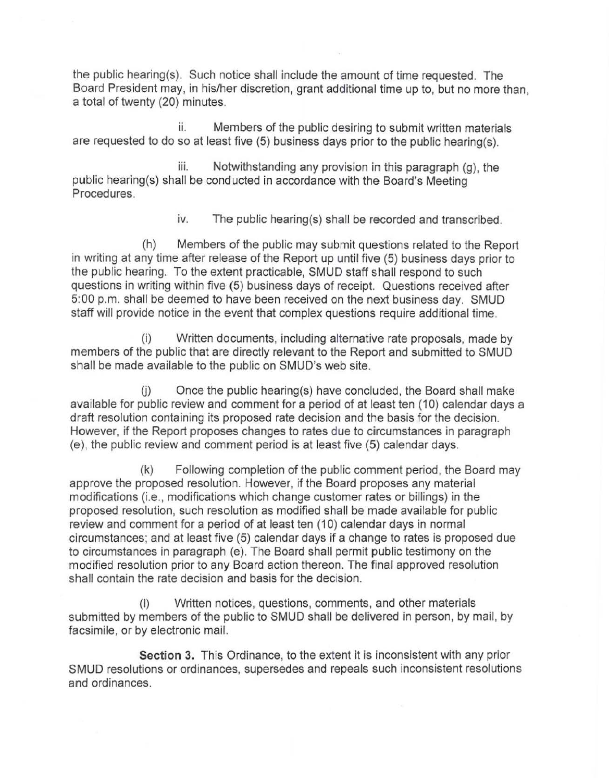the public hearing(s). Such notice shall include the amount of time requested. The Board President may, in his/her discretion, grant additional time up to, but no more than, a total of twenty (20) minutes.

ii. Members of the public desiring to submit written materials are requested to do so at least five (5) business days prior to the public hearing(s).

iii. Notwithstanding any provision in this paragraph (g), the public hearing(s) shall be conducted in accordance with the Board's Meeting Procedures.

iv. The public hearing(s) shall be recorded and transcribed.

(h) Members of the public may submit questions related to the Report in writing at any time after release of the Report up until five (5) business days prior to the public hearing. To the extent practicable, SMUD staff shall respond to such questions in writing within five (5) business days of receipt. Questions received after 5:00 p.m. shall be deemed to have been received on the next business day. SMUD staff will provide notice in the event that complex questions require additional time.

(i) Written documents, including alternative rate proposals, made by members of the public that are directly relevant to the Report and submitted to SMUD shall be made available to the public on SMUD's web site.

 $(i)$  Once the public hearing(s) have concluded, the Board shall make available for public review and comment for a period of at least ten (10) calendar days a draft resolution containing its proposed rate decision and the basis for the decision. However, if the Report proposes changes to rates due to circumstances in paragraph (e), the public review and comment period is at least five (5) calendar days.

(k) Following completion of the public comment period, the Board may approve the proposed resolution. However, if the Board proposes any material modifications (i.e., modifications which change customer rates or billings) in the proposed resolution, such resolution as modified shall be made available for public review and comment for a period of at least ten (10) calendar days in normal circumstances; and at least five (5) calendar days if a change to rates is proposed due to circumstances in paragraph (e). The Board shall permit public testimony on the modified resolution prior to any Board action thereon. The final approved resolution shall contain the rate decision and basis for the decision.

(I) Written notices, questions, comments, and other materials submitted by members of the public to SMUD shall be delivered in person, by mail, by facsimile, or by electronic mail.

Section 3. This Ordinance, to the extent it is inconsistent with any prior **SMUD resolutions or ordinances, supersedes and repeals such inconsistent resolutions**  and ordinances.